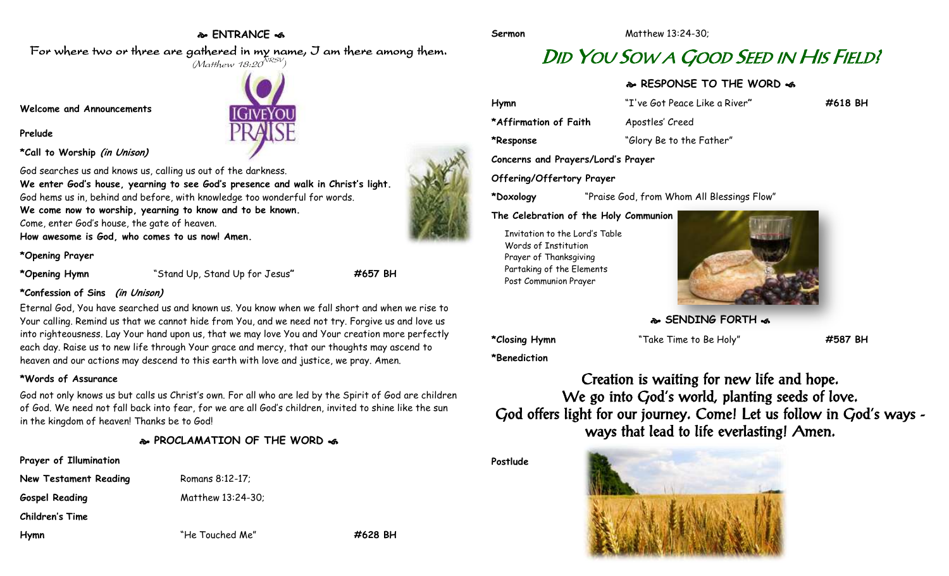## **ENTRANCE**

For where two or three are gathered in my name, I am there among them.  $(M$ atthew 18:20 $^{NRSV})$ 

**Welcome and Announcements**

**\*Call to Worship (in Unison)**

**Prelude**

IGiveYoi

God searches us and knows us, calling us out of the darkness. **We enter God's house, yearning to see God's presence and walk in Christ's light.** God hems us in, behind and before, with knowledge too wonderful for words. **We come now to worship, yearning to know and to be known.** Come, enter God's house, the gate of heaven.

**How awesome is God, who comes to us now! Amen.**

**\*Opening Prayer**

**\*Opening Hymn** "Stand Up, Stand Up for Jesus**" #657 BH**

### **\*Confession of Sins (in Unison)**

Eternal God, You have searched us and known us. You know when we fall short and when we rise to Your calling. Remind us that we cannot hide from You, and we need not try. Forgive us and love us into righteousness. Lay Your hand upon us, that we may love You and Your creation more perfectly each day. Raise us to new life through Your grace and mercy, that our thoughts may ascend to heaven and our actions may descend to this earth with love and justice, we pray. Amen.

### **\*Words of Assurance**

God not only knows us but calls us Christ's own. For all who are led by the Spirit of God are children of God. We need not fall back into fear, for we are all God's children, invited to shine like the sun in the kingdom of heaven! Thanks be to God!

# **PROCLAMATION OF THE WORD**

| Prayer of Illumination |                   |         |
|------------------------|-------------------|---------|
| New Testament Reading  | Romans 8:12-17;   |         |
| <b>Gospel Reading</b>  | Matthew 13:24-30; |         |
| <b>Children's Time</b> |                   |         |
| Hymn                   | "He Touched Me"   | #628 BH |

DID YOU SOW A GOOD SEED IN HIS FIELD?

**RESPONSE TO THE WORD**  $\approx$ 

**Hymn** "I've Got Peace Like a River**" #618 BH** \*Affirmation of Faith Apostles' Creed **\*Response** "Glory Be to the Father" **Concerns and Prayers/Lord's Prayer**

**Offering/Offertory Prayer**

**\*Doxology** "Praise God, from Whom All Blessings Flow"

**The Celebration of the Holy Communion**

Invitation to the Lord's Table Words of Institution Prayer of Thanksgiving Partaking of the Elements Post Communion Prayer



**SENDING FORTH &** 

**\*Closing Hymn** "Take Time to Be Holy" **#587 BH**

**\*Benediction**

Creation is waiting for new life and hope. We go into God's world, planting seeds of love. God offers light for our journey. Come! Let us follow in God's ways ways that lead to life everlasting! Amen.

**Postlude**







**Sermon** Matthew 13:24-30;